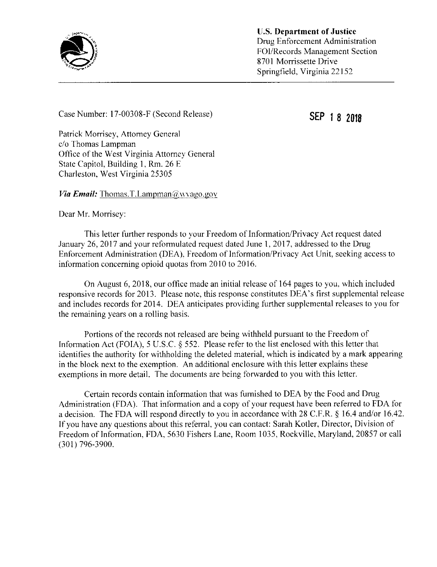

U.S. Department of Justice Drug Enforcement Administration FOI/Records Management Section 8701 Morrissette Drive Springfield, Virginia 22152

Case Number: 17-00308-F (Second Release) SEP 1 8 2018

Patrick Morrisey, Attorney General c/o Thomas Lampman Office of the West Virginia Attorney General State Capitol, Building 1, Rm. 26 E Charleston, West Virginia 25305

*Via Email:* Thomas.T.Lampman $\mathcal{A}_i$ wvago.gov

Dear Mr. Morrisey:

This letter further responds to your Freedom of Information/Privacy Act request dated January 26, 2017 and your reformulated request dated June 1, 2017, addressed to the Drug Enforcement Administration (DEA). Freedom of Information/Privacy Act Unit, seeking access to information concerning opioid quotas from 2010 to 2016.

On August 6, 2018, our office made an initial release of 164 pages to you. which included responsive records for 2013. Please note, this response constitutes DEA's first supplemental release and includes records for 2014. DEA anticipates providing further supplemental releases to you for the remaining years on a rolling basis.

Portions of the records not released are being withheld pursuant to the Freedom of Information Act (FOIA), <sup>5</sup> U.S.C. § 552. Please refer to the list enclosed with this letter that identifies the authority for withholding the deleted material, which is indicated by a mark appearing in the block next to the exemption. An additional enclosure with this letter explains these exemptions in more detail. The documents are being forwarded to you with this letter.

Certain records contain information that was furnished to DEA by the Food and Drug Administration (FDA). That information and a copy of your request have been referred to FDA for <sup>a</sup> decision. The FDA will respond directly to you in accordance with 28 C.F.R. § 16.4 and/or 16.42. If you have any questions about this referral, you can contact: Sarah Kotler, Director, Division of Freedom of Information, FDA, 5630 Fishers Lane, Room 1035, Rockville, Maryland, 20857 or call (301) 796-3900.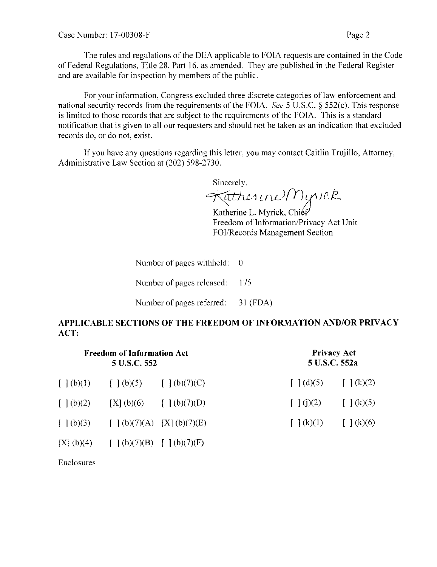The rules and regulations of the DEA applicable to FOIA requests are contained in the Code of Federal Regulations, Title 28, Part 16, as amended. They are published in the Federal Register and are available for inspection by members of the public.

For your information, Congress excluded three discrete categories of law enforcement and national security records from the requirements of the FOIA. See <sup>5</sup> U.S.C. § 552(c). This response is limited to those records that are subject to the requirements of the FOIA. This is <sup>a</sup> standard notification that is given to all our requesters and should not be taken as an indication that excluded records do, or do not, exist.

If you have any questions regarding this letter, you may contact Caitlin Trujillo, Attorney. Administrative Law Section at (202) 598-2730.

Sincerely.

 $ext{henu}$ Myrick

Katherine L. Myrick, Chief Freedom of Information/Privacy Act Unit FOI/Records Management Section

Number of pages withheld:  $0$ Number of pages released: 175

Number of pages referred: 31 (FDA)

## APPLICABLE SECTIONS OF THE FREEDOM OF INFORMATION AND/OR PRIVACY ACT:

| <b>Freedom of Information Act</b><br>5 U.S.C. 552 |                                             |                                                      | <b>Privacy Act</b><br>5 U.S.C. 552a |                                                      |
|---------------------------------------------------|---------------------------------------------|------------------------------------------------------|-------------------------------------|------------------------------------------------------|
| $\lceil \ \rceil$ (b)(1)                          | $\lceil (b)(5) \rceil$                      | $[\ ](b)(7)(C)$                                      | $\lceil (d)(5) \rceil$              | $\left[ \begin{array}{c} (k)(2) \end{array} \right]$ |
| $\lceil (b)(2) \rceil$                            | [X] (b)(6)                                  | $\left[\begin{array}{c}1\end{array}(b)(7)(D)\right]$ | $\lceil \ \rceil$ (j)(2)            | $\lceil \ \rfloor$ (k)(5)                            |
| [   (b)(3)                                        | $\lceil (b)(7)(A) \rceil$ $[X](b)(7)(E)$    |                                                      | [   (k)(1)                          | $\lceil \; \rceil$ (k)(6)                            |
|                                                   | [X] (b)(4) $\qquad [ (b)(7)(B) [ (b)(7)(F)$ |                                                      |                                     |                                                      |

Enclosures